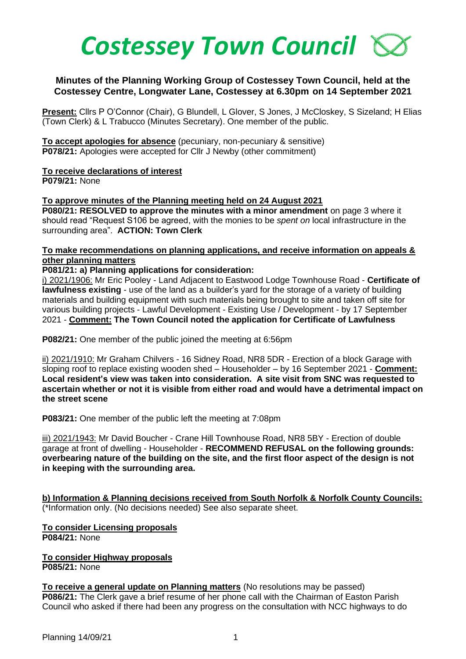

## **Minutes of the Planning Working Group of Costessey Town Council, held at the Costessey Centre, Longwater Lane, Costessey at 6.30pm on 14 September 2021**

**Present:** Cllrs P O'Connor (Chair), G Blundell, L Glover, S Jones, J McCloskey, S Sizeland; H Elias (Town Clerk) & L Trabucco (Minutes Secretary). One member of the public.

**To accept apologies for absence** (pecuniary, non-pecuniary & sensitive) **P078/21:** Apologies were accepted for Cllr J Newby (other commitment)

**To receive declarations of interest P079/21:** None

## **To approve minutes of the Planning meeting held on 24 August 2021**

**P080/21: RESOLVED to approve the minutes with a minor amendment** on page 3 where it should read "Request S106 be agreed, with the monies to be *spent on* local infrastructure in the surrounding area". **ACTION: Town Clerk**

## **To make recommendations on planning applications, and receive information on appeals & other planning matters**

## **P081/21: a) Planning applications for consideration:**

i) 2021/1906: Mr Eric Pooley - Land Adjacent to Eastwood Lodge Townhouse Road - **Certificate of lawfulness existing** - use of the land as a builder's yard for the storage of a variety of building materials and building equipment with such materials being brought to site and taken off site for various building projects - Lawful Development - Existing Use / Development - by 17 September 2021 - **Comment: The Town Council noted the application for Certificate of Lawfulness**

**P082/21:** One member of the public joined the meeting at 6:56pm

ii) 2021/1910: Mr Graham Chilvers - 16 Sidney Road, NR8 5DR - Erection of a block Garage with sloping roof to replace existing wooden shed – Householder – by 16 September 2021 - **Comment: Local resident's view was taken into consideration. A site visit from SNC was requested to ascertain whether or not it is visible from either road and would have a detrimental impact on the street scene**

**P083/21:** One member of the public left the meeting at 7:08pm

iii) 2021/1943: Mr David Boucher - Crane Hill Townhouse Road, NR8 5BY - Erection of double garage at front of dwelling - Householder - **RECOMMEND REFUSAL on the following grounds: overbearing nature of the building on the site, and the first floor aspect of the design is not in keeping with the surrounding area.**

**b) Information & Planning decisions received from South Norfolk & Norfolk County Councils:** (\*Information only. (No decisions needed) See also separate sheet.

**To consider Licensing proposals P084/21:** None

**To consider Highway proposals P085/21:** None

**To receive a general update on Planning matters** (No resolutions may be passed) **P086/21:** The Clerk gave a brief resume of her phone call with the Chairman of Easton Parish Council who asked if there had been any progress on the consultation with NCC highways to do